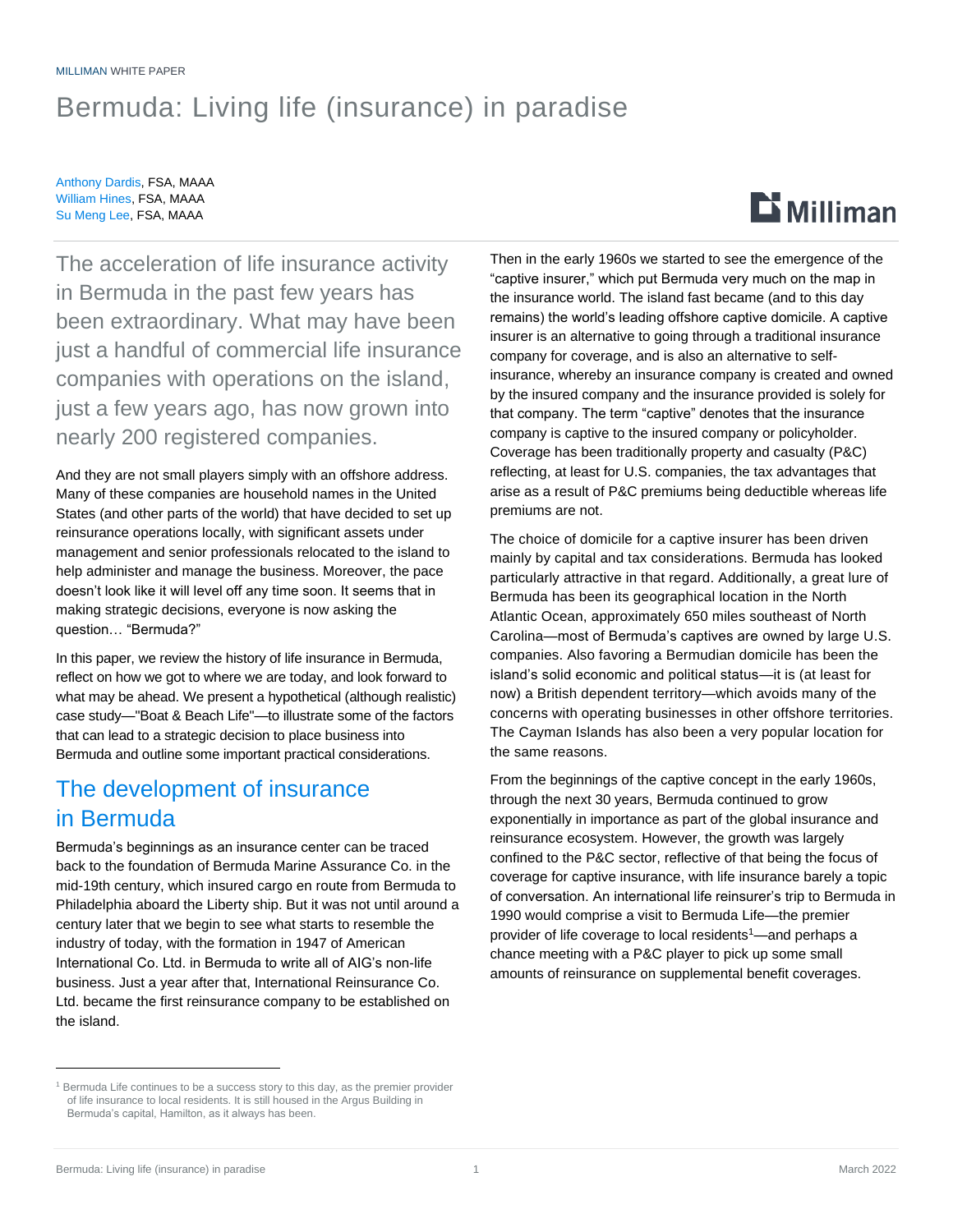#### MILLIMAN WHITE PAPER

## Bermuda: Living life (insurance) in paradise

Anthony Dardis, FSA, MAAA William Hines, FSA, MAAA Su Meng Lee, FSA, MAAA

# $E$  Milliman

The acceleration of life insurance activity in Bermuda in the past few years has been extraordinary. What may have been just a handful of commercial life insurance companies with operations on the island, just a few years ago, has now grown into nearly 200 registered companies.

And they are not small players simply with an offshore address. Many of these companies are household names in the United States (and other parts of the world) that have decided to set up reinsurance operations locally, with significant assets under management and senior professionals relocated to the island to help administer and manage the business. Moreover, the pace doesn't look like it will level off any time soon. It seems that in making strategic decisions, everyone is now asking the question… "Bermuda?"

In this paper, we review the history of life insurance in Bermuda, reflect on how we got to where we are today, and look forward to what may be ahead. We present a hypothetical (although realistic) case study—"Boat & Beach Life"—to illustrate some of the factors that can lead to a strategic decision to place business into Bermuda and outline some important practical considerations.

## The development of insurance in Bermuda

Bermuda's beginnings as an insurance center can be traced back to the foundation of Bermuda Marine Assurance Co. in the mid-19th century, which insured cargo en route from Bermuda to Philadelphia aboard the Liberty ship. But it was not until around a century later that we begin to see what starts to resemble the industry of today, with the formation in 1947 of American International Co. Ltd. in Bermuda to write all of AIG's non-life business. Just a year after that, International Reinsurance Co. Ltd. became the first reinsurance company to be established on the island.

Then in the early 1960s we started to see the emergence of the "captive insurer," which put Bermuda very much on the map in the insurance world. The island fast became (and to this day remains) the world's leading offshore captive domicile. A captive insurer is an alternative to going through a traditional insurance company for coverage, and is also an alternative to selfinsurance, whereby an insurance company is created and owned by the insured company and the insurance provided is solely for that company. The term "captive" denotes that the insurance company is captive to the insured company or policyholder. Coverage has been traditionally property and casualty (P&C) reflecting, at least for U.S. companies, the tax advantages that arise as a result of P&C premiums being deductible whereas life premiums are not.

The choice of domicile for a captive insurer has been driven mainly by capital and tax considerations. Bermuda has looked particularly attractive in that regard. Additionally, a great lure of Bermuda has been its geographical location in the North Atlantic Ocean, approximately 650 miles southeast of North Carolina—most of Bermuda's captives are owned by large U.S. companies. Also favoring a Bermudian domicile has been the island's solid economic and political status—it is (at least for now) a British dependent territory—which avoids many of the concerns with operating businesses in other offshore territories. The Cayman Islands has also been a very popular location for the same reasons.

From the beginnings of the captive concept in the early 1960s, through the next 30 years, Bermuda continued to grow exponentially in importance as part of the global insurance and reinsurance ecosystem. However, the growth was largely confined to the P&C sector, reflective of that being the focus of coverage for captive insurance, with life insurance barely a topic of conversation. An international life reinsurer's trip to Bermuda in 1990 would comprise a visit to Bermuda Life—the premier provider of life coverage to local residents<sup>1</sup>—and perhaps a chance meeting with a P&C player to pick up some small amounts of reinsurance on supplemental benefit coverages.

<sup>&</sup>lt;sup>1</sup> Bermuda Life continues to be a success story to this day, as the premier provider of life insurance to local residents. It is still housed in the Argus Building in Bermuda's capital, Hamilton, as it always has been.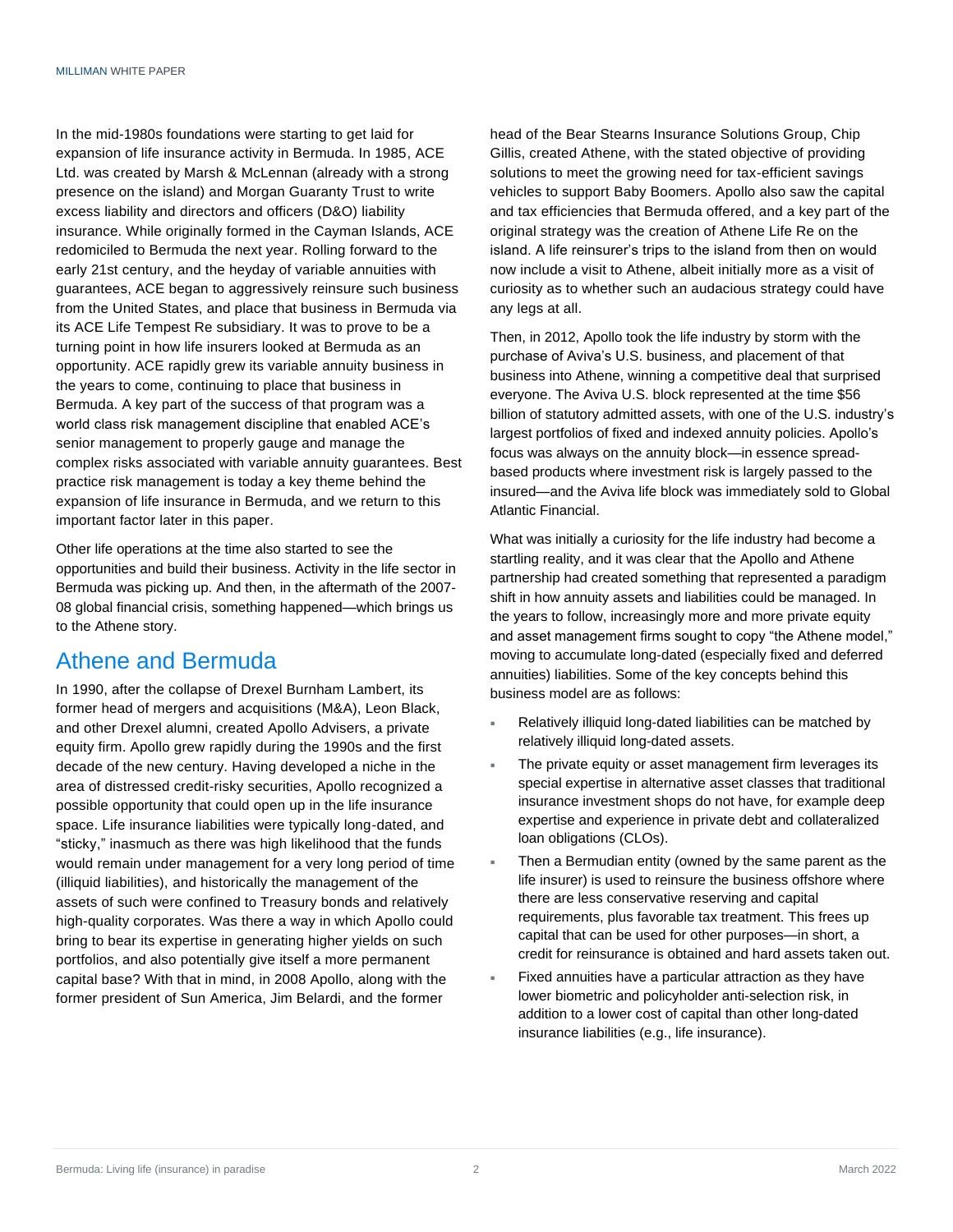In the mid-1980s foundations were starting to get laid for expansion of life insurance activity in Bermuda. In 1985, ACE Ltd. was created by Marsh & McLennan (already with a strong presence on the island) and Morgan Guaranty Trust to write excess liability and directors and officers (D&O) liability insurance. While originally formed in the Cayman Islands, ACE redomiciled to Bermuda the next year. Rolling forward to the early 21st century, and the heyday of variable annuities with guarantees, ACE began to aggressively reinsure such business from the United States, and place that business in Bermuda via its ACE Life Tempest Re subsidiary. It was to prove to be a turning point in how life insurers looked at Bermuda as an opportunity. ACE rapidly grew its variable annuity business in the years to come, continuing to place that business in Bermuda. A key part of the success of that program was a world class risk management discipline that enabled ACE's senior management to properly gauge and manage the complex risks associated with variable annuity guarantees. Best practice risk management is today a key theme behind the expansion of life insurance in Bermuda, and we return to this important factor later in this paper.

Other life operations at the time also started to see the opportunities and build their business. Activity in the life sector in Bermuda was picking up. And then, in the aftermath of the 2007- 08 global financial crisis, something happened—which brings us to the Athene story.

### Athene and Bermuda

In 1990, after the collapse of Drexel Burnham Lambert, its former head of mergers and acquisitions (M&A), Leon Black, and other Drexel alumni, created Apollo Advisers, a private equity firm. Apollo grew rapidly during the 1990s and the first decade of the new century. Having developed a niche in the area of distressed credit-risky securities, Apollo recognized a possible opportunity that could open up in the life insurance space. Life insurance liabilities were typically long-dated, and "sticky," inasmuch as there was high likelihood that the funds would remain under management for a very long period of time (illiquid liabilities), and historically the management of the assets of such were confined to Treasury bonds and relatively high-quality corporates. Was there a way in which Apollo could bring to bear its expertise in generating higher yields on such portfolios, and also potentially give itself a more permanent capital base? With that in mind, in 2008 Apollo, along with the former president of Sun America, Jim Belardi, and the former

head of the Bear Stearns Insurance Solutions Group, Chip Gillis, created Athene, with the stated objective of providing solutions to meet the growing need for tax-efficient savings vehicles to support Baby Boomers. Apollo also saw the capital and tax efficiencies that Bermuda offered, and a key part of the original strategy was the creation of Athene Life Re on the island. A life reinsurer's trips to the island from then on would now include a visit to Athene, albeit initially more as a visit of curiosity as to whether such an audacious strategy could have any legs at all.

Then, in 2012, Apollo took the life industry by storm with the purchase of Aviva's U.S. business, and placement of that business into Athene, winning a competitive deal that surprised everyone. The Aviva U.S. block represented at the time \$56 billion of statutory admitted assets, with one of the U.S. industry's largest portfolios of fixed and indexed annuity policies. Apollo's focus was always on the annuity block—in essence spreadbased products where investment risk is largely passed to the insured—and the Aviva life block was immediately sold to Global Atlantic Financial.

What was initially a curiosity for the life industry had become a startling reality, and it was clear that the Apollo and Athene partnership had created something that represented a paradigm shift in how annuity assets and liabilities could be managed. In the years to follow, increasingly more and more private equity and asset management firms sought to copy "the Athene model," moving to accumulate long-dated (especially fixed and deferred annuities) liabilities. Some of the key concepts behind this business model are as follows:

- Relatively illiquid long-dated liabilities can be matched by relatively illiquid long-dated assets.
- The private equity or asset management firm leverages its special expertise in alternative asset classes that traditional insurance investment shops do not have, for example deep expertise and experience in private debt and collateralized loan obligations (CLOs).
- Then a Bermudian entity (owned by the same parent as the life insurer) is used to reinsure the business offshore where there are less conservative reserving and capital requirements, plus favorable tax treatment. This frees up capital that can be used for other purposes—in short, a credit for reinsurance is obtained and hard assets taken out.
- Fixed annuities have a particular attraction as they have lower biometric and policyholder anti-selection risk, in addition to a lower cost of capital than other long-dated insurance liabilities (e.g., life insurance).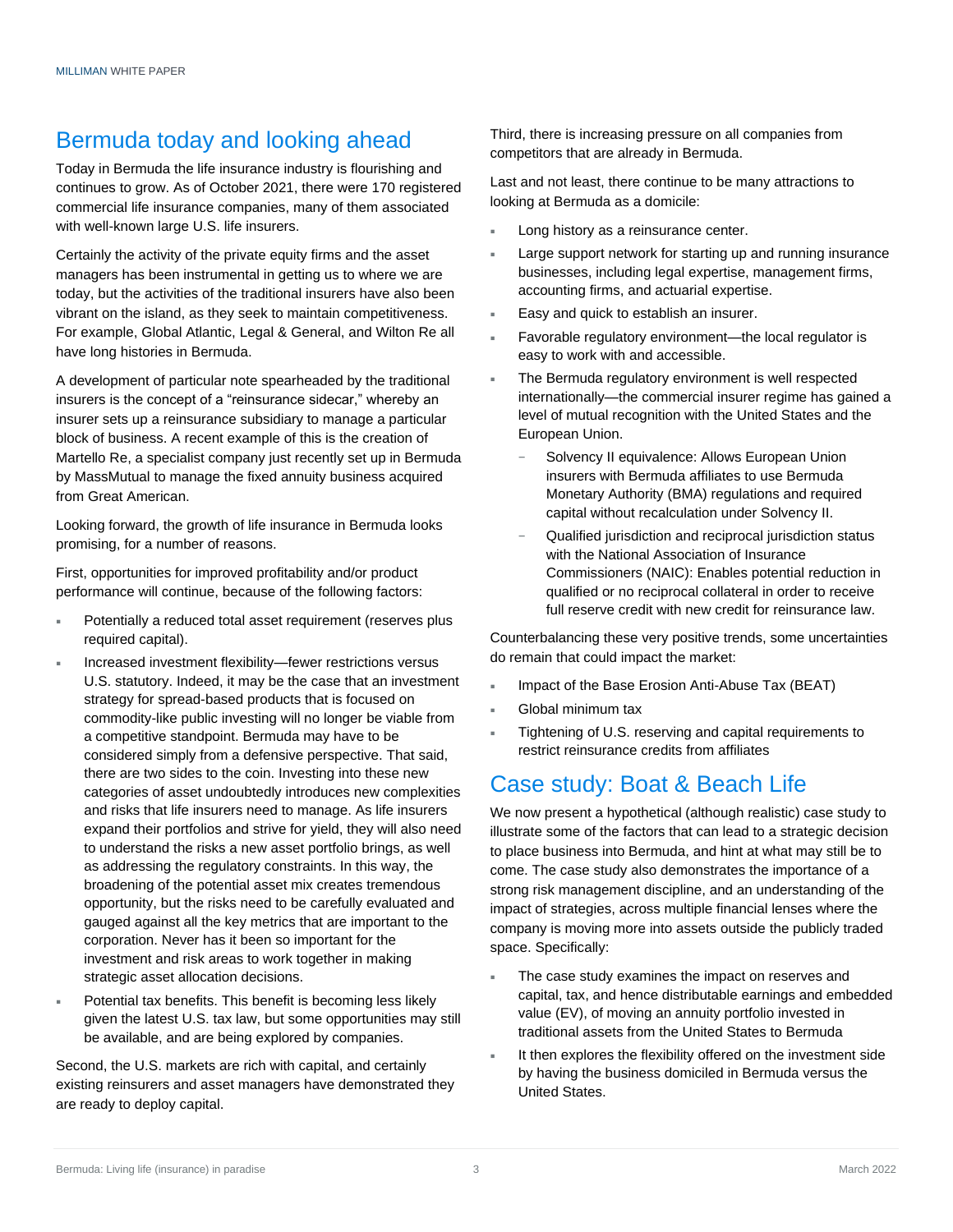## Bermuda today and looking ahead

Today in Bermuda the life insurance industry is flourishing and continues to grow. As of October 2021, there were 170 registered commercial life insurance companies, many of them associated with well-known large U.S. life insurers.

Certainly the activity of the private equity firms and the asset managers has been instrumental in getting us to where we are today, but the activities of the traditional insurers have also been vibrant on the island, as they seek to maintain competitiveness. For example, Global Atlantic, Legal & General, and Wilton Re all have long histories in Bermuda.

A development of particular note spearheaded by the traditional insurers is the concept of a "reinsurance sidecar," whereby an insurer sets up a reinsurance subsidiary to manage a particular block of business. A recent example of this is the creation of Martello Re, a specialist company just recently set up in Bermuda by MassMutual to manage the fixed annuity business acquired from Great American.

Looking forward, the growth of life insurance in Bermuda looks promising, for a number of reasons.

First, opportunities for improved profitability and/or product performance will continue, because of the following factors:

- Potentially a reduced total asset requirement (reserves plus required capital).
- Increased investment flexibility—fewer restrictions versus U.S. statutory. Indeed, it may be the case that an investment strategy for spread-based products that is focused on commodity-like public investing will no longer be viable from a competitive standpoint. Bermuda may have to be considered simply from a defensive perspective. That said, there are two sides to the coin. Investing into these new categories of asset undoubtedly introduces new complexities and risks that life insurers need to manage. As life insurers expand their portfolios and strive for yield, they will also need to understand the risks a new asset portfolio brings, as well as addressing the regulatory constraints. In this way, the broadening of the potential asset mix creates tremendous opportunity, but the risks need to be carefully evaluated and gauged against all the key metrics that are important to the corporation. Never has it been so important for the investment and risk areas to work together in making strategic asset allocation decisions.
- Potential tax benefits. This benefit is becoming less likely given the latest U.S. tax law, but some opportunities may still be available, and are being explored by companies.

Second, the U.S. markets are rich with capital, and certainly existing reinsurers and asset managers have demonstrated they are ready to deploy capital.

Third, there is increasing pressure on all companies from competitors that are already in Bermuda.

Last and not least, there continue to be many attractions to looking at Bermuda as a domicile:

- Long history as a reinsurance center.
- Large support network for starting up and running insurance businesses, including legal expertise, management firms, accounting firms, and actuarial expertise.
- Easy and quick to establish an insurer.
- Favorable regulatory environment—the local regulator is easy to work with and accessible.
- The Bermuda regulatory environment is well respected internationally—the commercial insurer regime has gained a level of mutual recognition with the United States and the European Union.
	- Solvency II equivalence: Allows European Union insurers with Bermuda affiliates to use Bermuda Monetary Authority (BMA) regulations and required capital without recalculation under Solvency II.
	- Qualified jurisdiction and reciprocal jurisdiction status with the National Association of Insurance Commissioners (NAIC): Enables potential reduction in qualified or no reciprocal collateral in order to receive full reserve credit with new credit for reinsurance law.

Counterbalancing these very positive trends, some uncertainties do remain that could impact the market:

- Impact of the Base Erosion Anti-Abuse Tax (BEAT)
- Global minimum tax
- Tightening of U.S. reserving and capital requirements to restrict reinsurance credits from affiliates

## Case study: Boat & Beach Life

We now present a hypothetical (although realistic) case study to illustrate some of the factors that can lead to a strategic decision to place business into Bermuda, and hint at what may still be to come. The case study also demonstrates the importance of a strong risk management discipline, and an understanding of the impact of strategies, across multiple financial lenses where the company is moving more into assets outside the publicly traded space. Specifically:

- The case study examines the impact on reserves and capital, tax, and hence distributable earnings and embedded value (EV), of moving an annuity portfolio invested in traditional assets from the United States to Bermuda
- It then explores the flexibility offered on the investment side by having the business domiciled in Bermuda versus the United States.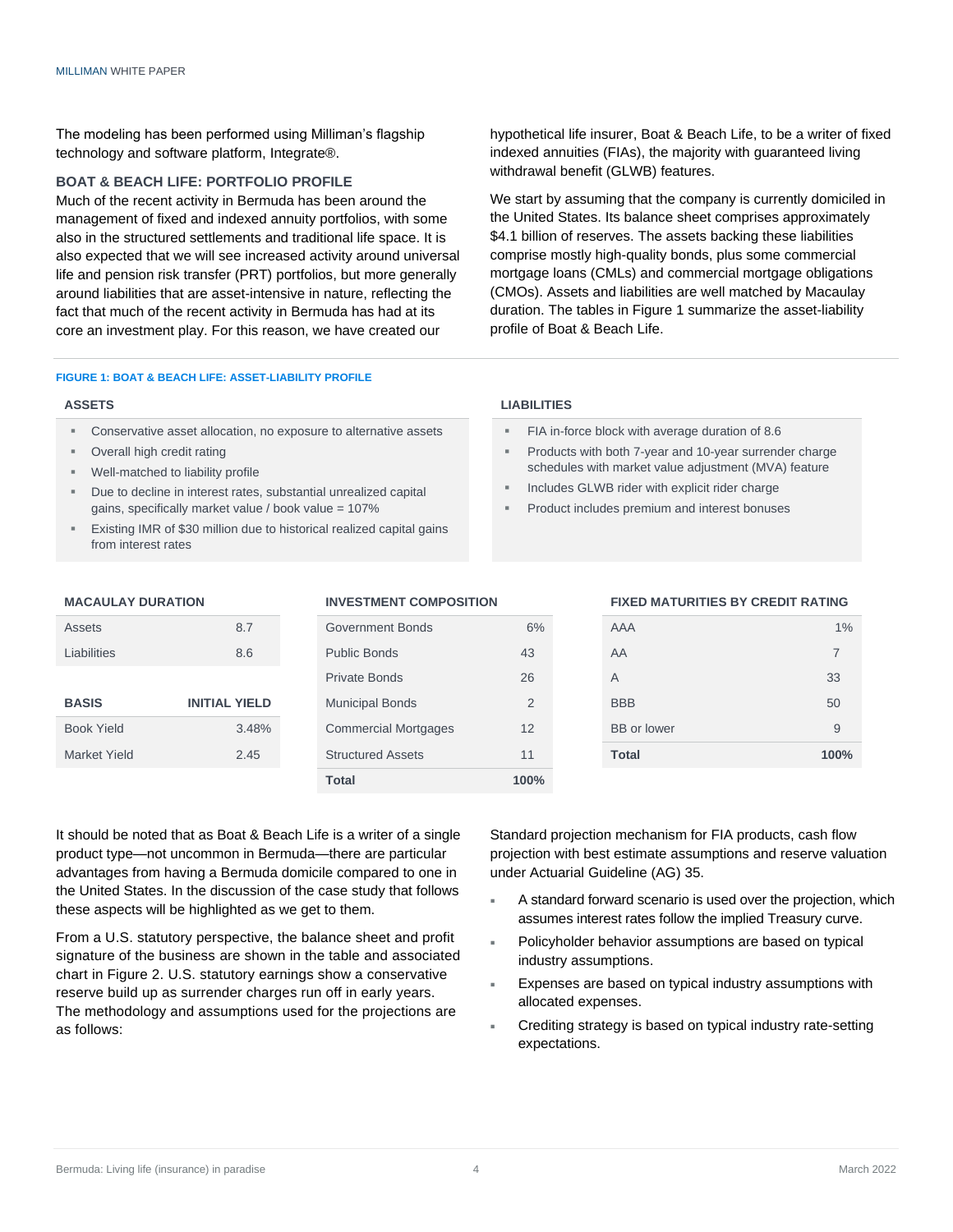The modeling has been performed using Milliman's flagship technology and software platform, Integrate®.

#### **BOAT & BEACH LIFE: PORTFOLIO PROFILE**

Much of the recent activity in Bermuda has been around the management of fixed and indexed annuity portfolios, with some also in the structured settlements and traditional life space. It is also expected that we will see increased activity around universal life and pension risk transfer (PRT) portfolios, but more generally around liabilities that are asset-intensive in nature, reflecting the fact that much of the recent activity in Bermuda has had at its core an investment play. For this reason, we have created our

hypothetical life insurer, Boat & Beach Life, to be a writer of fixed indexed annuities (FIAs), the majority with guaranteed living withdrawal benefit (GLWB) features.

We start by assuming that the company is currently domiciled in the United States. Its balance sheet comprises approximately \$4.1 billion of reserves. The assets backing these liabilities comprise mostly high-quality bonds, plus some commercial mortgage loans (CMLs) and commercial mortgage obligations (CMOs). Assets and liabilities are well matched by Macaulay duration. The tables in Figure 1 summarize the asset-liability profile of Boat & Beach Life.

#### **FIGURE 1: BOAT & BEACH LIFE: ASSET-LIABILITY PROFILE**

#### **ASSETS LIABILITIES**

- Conservative asset allocation, no exposure to alternative assets
- Overall high credit rating
- Well-matched to liability profile
- Due to decline in interest rates, substantial unrealized capital gains, specifically market value / book value =  $107\%$
- **Existing IMR of \$30 million due to historical realized capital gains** from interest rates

- FIA in-force block with average duration of 8.6
- Products with both 7-year and 10-year surrender charge schedules with market value adjustment (MVA) feature
- Includes GLWB rider with explicit rider charge
- Product includes premium and interest bonuses

# **BASIS INITIAL YIELD** Municipal Bonds 2 Book Yield 3.48% Commercial Mortgages 12 Market Yield **2.45** Structured Assets 11

# Assets 6% **8.7** Government Bonds 6% Private Bonds 26 **Total 100%**

#### **MACAULAY DURATION INVESTMENT COMPOSITION FIXED MATURITIES BY CREDIT RATING**

| <b>Assets</b>     | 8.7                  | Government Bonds            | 6% | AAA                | 1%   |
|-------------------|----------------------|-----------------------------|----|--------------------|------|
| Liabilities       | 8.6                  | <b>Public Bonds</b>         | 43 | AA                 |      |
|                   |                      | <b>Private Bonds</b>        | 26 | $\overline{A}$     | 33   |
| <b>BASIS</b>      | <b>INITIAL YIELD</b> | <b>Municipal Bonds</b>      | 2  | <b>BBB</b>         | 50   |
| <b>Book Yield</b> | 3.48%                | <b>Commercial Mortgages</b> | 12 | <b>BB</b> or lower | 9    |
| Market Yield      | 2.45                 | <b>Structured Assets</b>    | 11 | <b>Total</b>       | 100% |
|                   |                      |                             |    |                    |      |

It should be noted that as Boat & Beach Life is a writer of a single product type—not uncommon in Bermuda—there are particular advantages from having a Bermuda domicile compared to one in the United States. In the discussion of the case study that follows these aspects will be highlighted as we get to them.

From a U.S. statutory perspective, the balance sheet and profit signature of the business are shown in the table and associated chart in Figure 2. U.S. statutory earnings show a conservative reserve build up as surrender charges run off in early years. The methodology and assumptions used for the projections are as follows:

Standard projection mechanism for FIA products, cash flow projection with best estimate assumptions and reserve valuation under Actuarial Guideline (AG) 35.

- A standard forward scenario is used over the projection, which assumes interest rates follow the implied Treasury curve.
- Policyholder behavior assumptions are based on typical industry assumptions.
- Expenses are based on typical industry assumptions with allocated expenses.
- Crediting strategy is based on typical industry rate-setting expectations.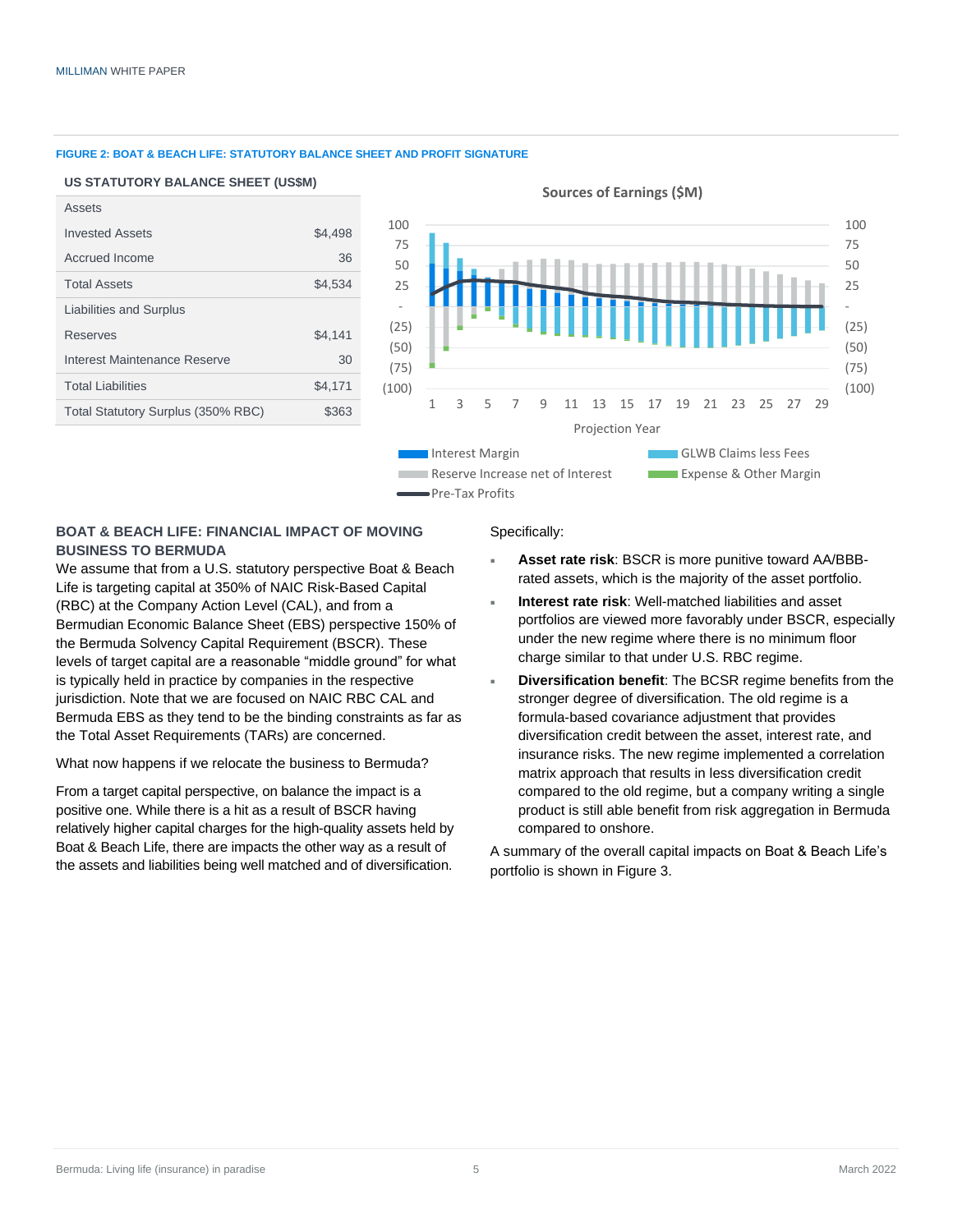#### **FIGURE 2: BOAT & BEACH LIFE: STATUTORY BALANCE SHEET AND PROFIT SIGNATURE**

#### **US STATUTORY BALANCE SHEET (US\$M)**

| Assets                             |         |              |        |  |
|------------------------------------|---------|--------------|--------|--|
| <b>Invested Assets</b>             | \$4,498 | 100          |        |  |
| Accrued Income                     | 36      | 75<br>50     |        |  |
| <b>Total Assets</b>                | \$4,534 | 25           |        |  |
| Liabilities and Surplus            |         |              |        |  |
| <b>Reserves</b>                    | \$4,141 | (25)         |        |  |
| Interest Maintenance Reserve       | 30      | (50)<br>(75) |        |  |
| <b>Total Liabilities</b>           | \$4,171 | (100)        |        |  |
| Total Statutory Surplus (350% RBC) | \$363   |              | 1<br>ς |  |
|                                    |         |              |        |  |

#### **Sources of Earnings (\$M)**



#### **BOAT & BEACH LIFE: FINANCIAL IMPACT OF MOVING BUSINESS TO BERMUDA**

We assume that from a U.S. statutory perspective Boat & Beach Life is targeting capital at 350% of NAIC Risk-Based Capital (RBC) at the Company Action Level (CAL), and from a Bermudian Economic Balance Sheet (EBS) perspective 150% of the Bermuda Solvency Capital Requirement (BSCR). These levels of target capital are a reasonable "middle ground" for what is typically held in practice by companies in the respective jurisdiction. Note that we are focused on NAIC RBC CAL and Bermuda EBS as they tend to be the binding constraints as far as the Total Asset Requirements (TARs) are concerned.

What now happens if we relocate the business to Bermuda?

From a target capital perspective, on balance the impact is a positive one. While there is a hit as a result of BSCR having relatively higher capital charges for the high-quality assets held by Boat & Beach Life, there are impacts the other way as a result of the assets and liabilities being well matched and of diversification.

#### Specifically:

- **Asset rate risk**: BSCR is more punitive toward AA/BBBrated assets, which is the majority of the asset portfolio.
- **Interest rate risk**: Well-matched liabilities and asset portfolios are viewed more favorably under BSCR, especially under the new regime where there is no minimum floor charge similar to that under U.S. RBC regime.
- **Diversification benefit**: The BCSR regime benefits from the stronger degree of diversification. The old regime is a formula-based covariance adjustment that provides diversification credit between the asset, interest rate, and insurance risks. The new regime implemented a correlation matrix approach that results in less diversification credit compared to the old regime, but a company writing a single product is still able benefit from risk aggregation in Bermuda compared to onshore.

A summary of the overall capital impacts on Boat & Beach Life's portfolio is shown in Figure 3.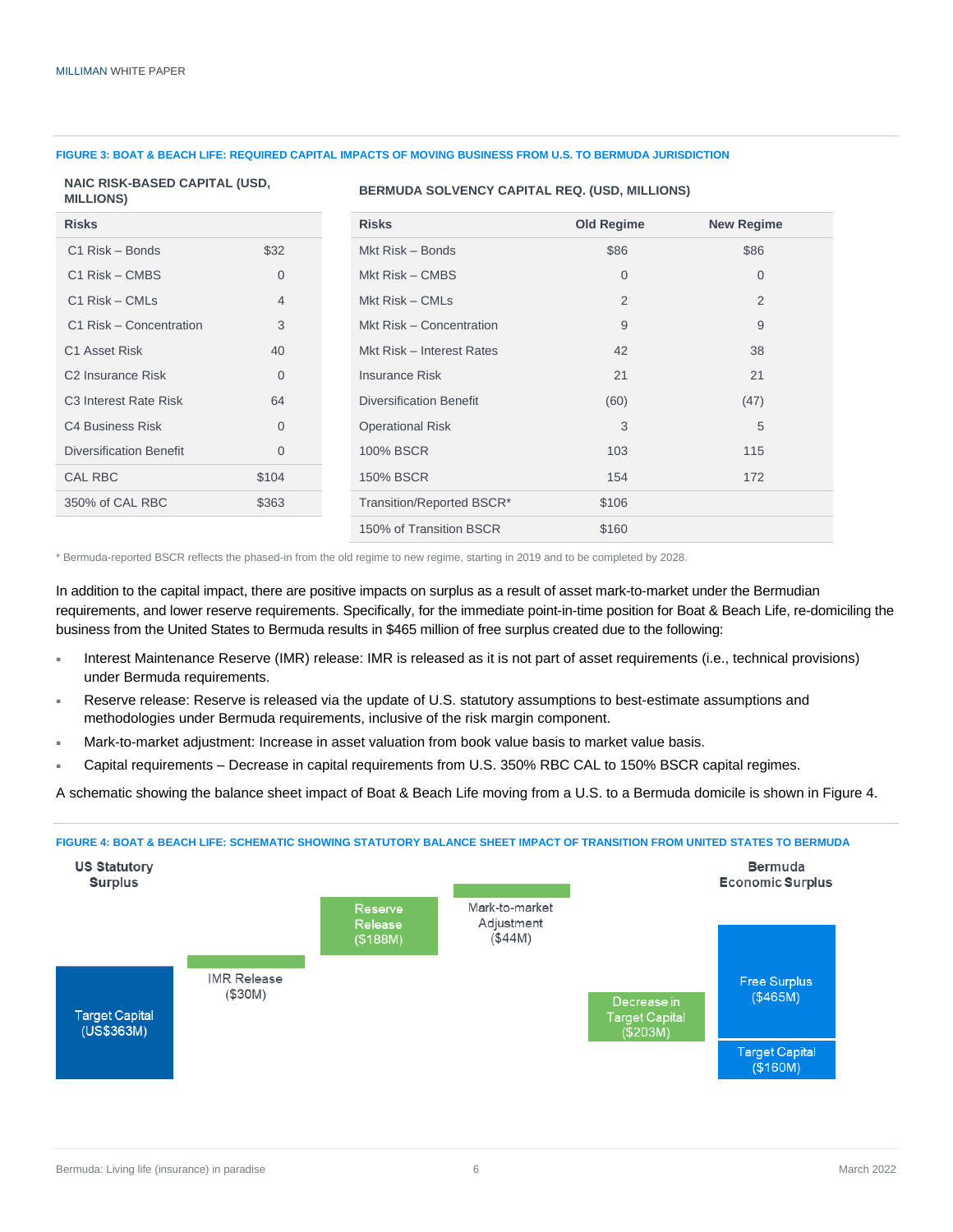#### **FIGURE 3: BOAT & BEACH LIFE: REQUIRED CAPITAL IMPACTS OF MOVING BUSINESS FROM U.S. TO BERMUDA JURISDICTION**

#### **NAIC RISK-BASED CAPITAL (USD, MILLIONS)**

#### **BERMUDA SOLVENCY CAPITAL REQ. (USD, MILLIONS)**

| <b>Risks</b>                      |                | <b>Risks</b>                   | <b>Old Regime</b> | <b>New Regime</b> |
|-----------------------------------|----------------|--------------------------------|-------------------|-------------------|
| C1 Risk - Bonds                   | \$32           | Mkt Risk - Bonds               | \$86              | \$86              |
| C1 Risk – CMBS                    | $\overline{0}$ | Mkt Risk - CMBS                | $\mathbf{0}$      | $\mathbf{0}$      |
| $C1$ Risk – CMLs                  | 4              | Mkt Risk – CMLs                | 2                 | 2                 |
| C1 Risk - Concentration           | 3              | Mkt Risk - Concentration       | 9                 | 9                 |
| C1 Asset Risk                     | 40             | Mkt Risk - Interest Rates      | 42                | 38                |
| C <sub>2</sub> Insurance Risk     | $\overline{0}$ | <b>Insurance Risk</b>          | 21                | 21                |
| C <sub>3</sub> Interest Rate Risk | 64             | <b>Diversification Benefit</b> | (60)              | (47)              |
| <b>C4 Business Risk</b>           | $\overline{0}$ | <b>Operational Risk</b>        | 3                 | 5                 |
| <b>Diversification Benefit</b>    | $\overline{0}$ | <b>100% BSCR</b>               | 103               | 115               |
| <b>CAL RBC</b>                    | \$104          | <b>150% BSCR</b>               | 154               | 172               |
| 350% of CAL RBC                   | \$363          | Transition/Reported BSCR*      | \$106             |                   |
|                                   |                | 150% of Transition BSCR        | \$160             |                   |

\* Bermuda-reported BSCR reflects the phased-in from the old regime to new regime, starting in 2019 and to be completed by 2028.

In addition to the capital impact, there are positive impacts on surplus as a result of asset mark-to-market under the Bermudian requirements, and lower reserve requirements. Specifically, for the immediate point-in-time position for Boat & Beach Life, re-domiciling the business from the United States to Bermuda results in \$465 million of free surplus created due to the following:

- Interest Maintenance Reserve (IMR) release: IMR is released as it is not part of asset requirements (i.e., technical provisions) under Bermuda requirements.
- Reserve release: Reserve is released via the update of U.S. statutory assumptions to best-estimate assumptions and methodologies under Bermuda requirements, inclusive of the risk margin component.
- Mark-to-market adjustment: Increase in asset valuation from book value basis to market value basis.
- Capital requirements Decrease in capital requirements from U.S. 350% RBC CAL to 150% BSCR capital regimes.

A schematic showing the balance sheet impact of Boat & Beach Life moving from a U.S. to a Bermuda domicile is shown in Figure 4.



#### **FIGURE 4: BOAT & BEACH LIFE: SCHEMATIC SHOWING STATUTORY BALANCE SHEET IMPACT OF TRANSITION FROM UNITED STATES TO BERMUDA**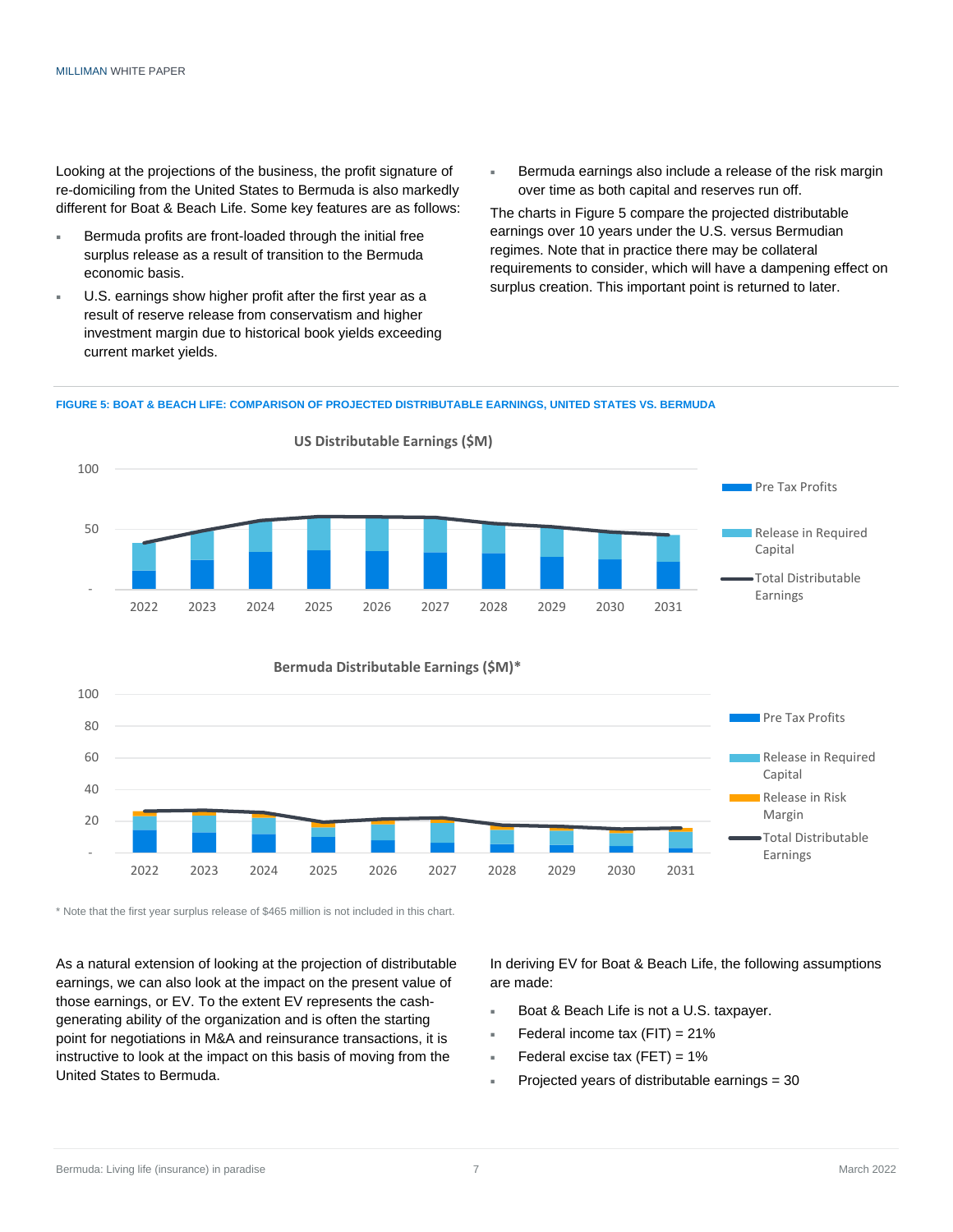Looking at the projections of the business, the profit signature of re-domiciling from the United States to Bermuda is also markedly different for Boat & Beach Life. Some key features are as follows:

- Bermuda profits are front-loaded through the initial free surplus release as a result of transition to the Bermuda economic basis.
- U.S. earnings show higher profit after the first year as a result of reserve release from conservatism and higher investment margin due to historical book yields exceeding current market yields.
- **Bermuda earnings also include a release of the risk margin** over time as both capital and reserves run off.

The charts in Figure 5 compare the projected distributable earnings over 10 years under the U.S. versus Bermudian regimes. Note that in practice there may be collateral requirements to consider, which will have a dampening effect on surplus creation. This important point is returned to later.

#### **FIGURE 5: BOAT & BEACH LIFE: COMPARISON OF PROJECTED DISTRIBUTABLE EARNINGS, UNITED STATES VS. BERMUDA**



2022 2023 2024 2025 2026 2027 2028 2029 2030 2031

\* Note that the first year surplus release of \$465 million is not included in this chart.

As a natural extension of looking at the projection of distributable earnings, we can also look at the impact on the present value of those earnings, or EV. To the extent EV represents the cashgenerating ability of the organization and is often the starting point for negotiations in M&A and reinsurance transactions, it is instructive to look at the impact on this basis of moving from the United States to Bermuda.

In deriving EV for Boat & Beach Life, the following assumptions are made:

Margin

Earnings

Total Distributable

- Boat & Beach Life is not a U.S. taxpayer.
- Federal income tax  $(FIT) = 21\%$
- Federal excise tax  $(FET) = 1%$
- Projected years of distributable earnings = 30

-

20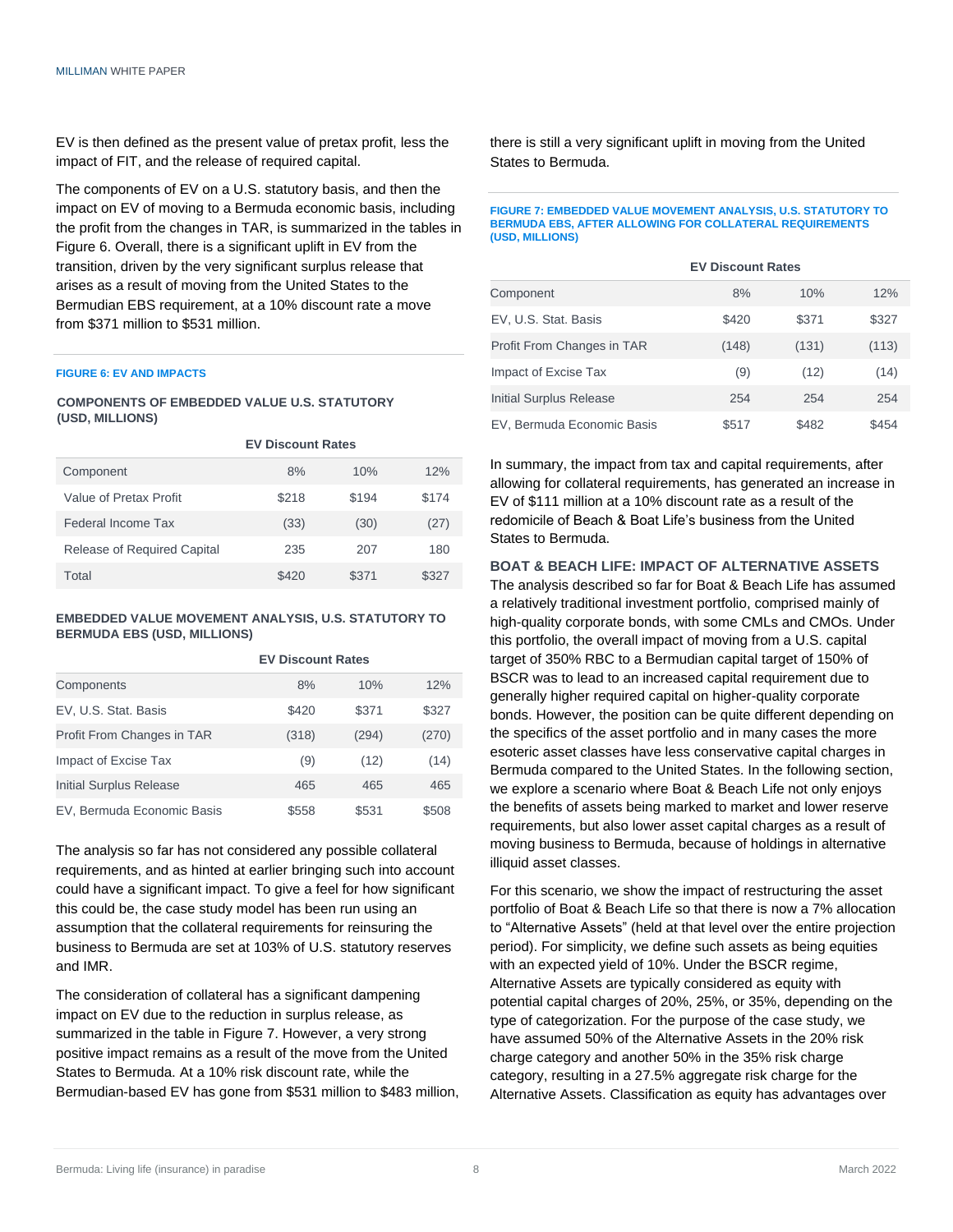EV is then defined as the present value of pretax profit, less the impact of FIT, and the release of required capital.

The components of EV on a U.S. statutory basis, and then the impact on EV of moving to a Bermuda economic basis, including the profit from the changes in TAR, is summarized in the tables in Figure 6. Overall, there is a significant uplift in EV from the transition, driven by the very significant surplus release that arises as a result of moving from the United States to the Bermudian EBS requirement, at a 10% discount rate a move from \$371 million to \$531 million.

#### **FIGURE 6: EV AND IMPACTS**

#### **COMPONENTS OF EMBEDDED VALUE U.S. STATUTORY (USD, MILLIONS)**

|                                    | <b>EV Discount Rates</b> |       |       |  |
|------------------------------------|--------------------------|-------|-------|--|
| Component                          | 8%                       | 10%   | 12%   |  |
| Value of Pretax Profit             | \$218                    | \$194 | \$174 |  |
| Federal Income Tax                 | (33)                     | (30)  | (27)  |  |
| <b>Release of Required Capital</b> | 235                      | 207   | 180   |  |
| Total                              | \$420                    | \$371 | \$327 |  |

#### **EMBEDDED VALUE MOVEMENT ANALYSIS, U.S. STATUTORY TO BERMUDA EBS (USD, MILLIONS)**

**EV Discount Rates**

|                            | LV DISCOUTIL INGLES |       |       |
|----------------------------|---------------------|-------|-------|
| Components                 | 8%                  | 10%   | 12%   |
| EV, U.S. Stat. Basis       | \$420               | \$371 | \$327 |
| Profit From Changes in TAR | (318)               | (294) | (270) |
| Impact of Excise Tax       | (9)                 | (12)  | (14)  |
| Initial Surplus Release    | 465                 | 465   | 465   |
| EV, Bermuda Economic Basis | \$558               | \$531 | \$508 |

The analysis so far has not considered any possible collateral requirements, and as hinted at earlier bringing such into account could have a significant impact. To give a feel for how significant this could be, the case study model has been run using an assumption that the collateral requirements for reinsuring the business to Bermuda are set at 103% of U.S. statutory reserves and IMR.

The consideration of collateral has a significant dampening impact on EV due to the reduction in surplus release, as summarized in the table in Figure 7. However, a very strong positive impact remains as a result of the move from the United States to Bermuda. At a 10% risk discount rate, while the Bermudian-based EV has gone from \$531 million to \$483 million, there is still a very significant uplift in moving from the United States to Bermuda.

#### **FIGURE 7: EMBEDDED VALUE MOVEMENT ANALYSIS, U.S. STATUTORY TO BERMUDA EBS, AFTER ALLOWING FOR COLLATERAL REQUIREMENTS (USD, MILLIONS)**

|                            | <b>EV Discount Rates</b> |       |       |  |
|----------------------------|--------------------------|-------|-------|--|
| Component                  | 8%                       | 10%   | 12%   |  |
| EV, U.S. Stat. Basis       | \$420                    | \$371 | \$327 |  |
| Profit From Changes in TAR | (148)                    | (131) | (113) |  |
| Impact of Excise Tax       | (9)                      | (12)  | (14)  |  |
| Initial Surplus Release    | 254                      | 254   | 254   |  |
| EV, Bermuda Economic Basis | \$517                    | \$482 | \$454 |  |

In summary, the impact from tax and capital requirements, after allowing for collateral requirements, has generated an increase in EV of \$111 million at a 10% discount rate as a result of the redomicile of Beach & Boat Life's business from the United States to Bermuda.

**BOAT & BEACH LIFE: IMPACT OF ALTERNATIVE ASSETS** The analysis described so far for Boat & Beach Life has assumed a relatively traditional investment portfolio, comprised mainly of high-quality corporate bonds, with some CMLs and CMOs. Under this portfolio, the overall impact of moving from a U.S. capital target of 350% RBC to a Bermudian capital target of 150% of BSCR was to lead to an increased capital requirement due to generally higher required capital on higher-quality corporate bonds. However, the position can be quite different depending on the specifics of the asset portfolio and in many cases the more esoteric asset classes have less conservative capital charges in Bermuda compared to the United States. In the following section, we explore a scenario where Boat & Beach Life not only enjoys the benefits of assets being marked to market and lower reserve requirements, but also lower asset capital charges as a result of moving business to Bermuda, because of holdings in alternative illiquid asset classes.

For this scenario, we show the impact of restructuring the asset portfolio of Boat & Beach Life so that there is now a 7% allocation to "Alternative Assets" (held at that level over the entire projection period). For simplicity, we define such assets as being equities with an expected yield of 10%. Under the BSCR regime, Alternative Assets are typically considered as equity with potential capital charges of 20%, 25%, or 35%, depending on the type of categorization. For the purpose of the case study, we have assumed 50% of the Alternative Assets in the 20% risk charge category and another 50% in the 35% risk charge category, resulting in a 27.5% aggregate risk charge for the Alternative Assets. Classification as equity has advantages over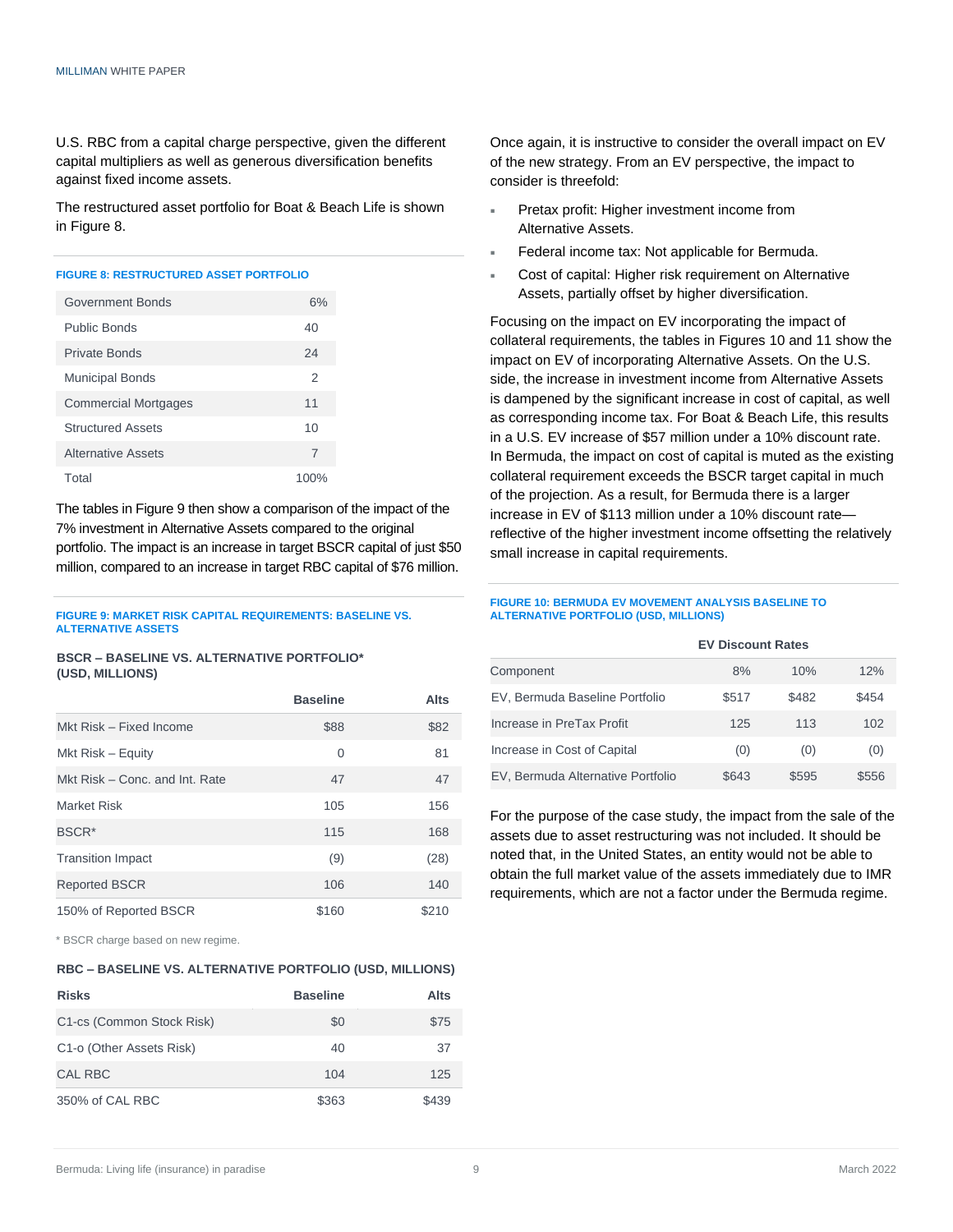U.S. RBC from a capital charge perspective, given the different capital multipliers as well as generous diversification benefits against fixed income assets.

The restructured asset portfolio for Boat & Beach Life is shown in Figure 8.

#### **FIGURE 8: RESTRUCTURED ASSET PORTFOLIO**

| Government Bonds            | 6%   |
|-----------------------------|------|
| Public Bonds                | 40   |
| Private Bonds               | 24   |
| <b>Municipal Bonds</b>      | 2    |
| <b>Commercial Mortgages</b> | 11   |
| <b>Structured Assets</b>    | 10   |
| <b>Alternative Assets</b>   | 7    |
| Total                       | 100% |

The tables in Figure 9 then show a comparison of the impact of the 7% investment in Alternative Assets compared to the original portfolio. The impact is an increase in target BSCR capital of just \$50 million, compared to an increase in target RBC capital of \$76 million.

#### **FIGURE 9: MARKET RISK CAPITAL REQUIREMENTS: BASELINE VS. ALTERNATIVE ASSETS**

**BSCR – BASELINE VS. ALTERNATIVE PORTFOLIO\* (USD, MILLIONS)**

|                                | <b>Baseline</b> | <b>Alts</b> |
|--------------------------------|-----------------|-------------|
| Mkt Risk - Fixed Income        | \$88            | \$82        |
| Mkt Risk – Equity              | $\Omega$        | 81          |
| Mkt Risk – Conc. and Int. Rate | 47              | 47          |
| <b>Market Risk</b>             | 105             | 156         |
| BSCR <sup>*</sup>              | 115             | 168         |
| <b>Transition Impact</b>       | (9)             | (28)        |
| <b>Reported BSCR</b>           | 106             | 140         |
| 150% of Reported BSCR          | \$160           | \$210       |

\* BSCR charge based on new regime.

#### **RBC – BASELINE VS. ALTERNATIVE PORTFOLIO (USD, MILLIONS)**

| <b>Risks</b>              | <b>Baseline</b> | Alts  |
|---------------------------|-----------------|-------|
| C1-cs (Common Stock Risk) | \$0             | \$75  |
| C1-o (Other Assets Risk)  | 40              | 37    |
| CAL RBC                   | 104             | 125   |
| 350% of CAL RBC           | \$363           | \$439 |

Once again, it is instructive to consider the overall impact on EV of the new strategy. From an EV perspective, the impact to consider is threefold:

- Pretax profit: Higher investment income from Alternative Assets.
- Federal income tax: Not applicable for Bermuda.
- Cost of capital: Higher risk requirement on Alternative Assets, partially offset by higher diversification.

Focusing on the impact on EV incorporating the impact of collateral requirements, the tables in Figures 10 and 11 show the impact on EV of incorporating Alternative Assets. On the U.S. side, the increase in investment income from Alternative Assets is dampened by the significant increase in cost of capital, as well as corresponding income tax. For Boat & Beach Life, this results in a U.S. EV increase of \$57 million under a 10% discount rate. In Bermuda, the impact on cost of capital is muted as the existing collateral requirement exceeds the BSCR target capital in much of the projection. As a result, for Bermuda there is a larger increase in EV of \$113 million under a 10% discount rate reflective of the higher investment income offsetting the relatively small increase in capital requirements.

#### **FIGURE 10: BERMUDA EV MOVEMENT ANALYSIS BASELINE TO ALTERNATIVE PORTFOLIO (USD, MILLIONS)**

**EV Discount Rates**

| Component                         | 8%    | 10%   | 12%   |
|-----------------------------------|-------|-------|-------|
| EV, Bermuda Baseline Portfolio    | \$517 | \$482 | \$454 |
| Increase in PreTax Profit         | 125   | 113   | 102   |
| Increase in Cost of Capital       | (0)   | (0)   | (0)   |
| EV, Bermuda Alternative Portfolio | \$643 | \$595 | \$556 |

For the purpose of the case study, the impact from the sale of the assets due to asset restructuring was not included. It should be noted that, in the United States, an entity would not be able to obtain the full market value of the assets immediately due to IMR requirements, which are not a factor under the Bermuda regime.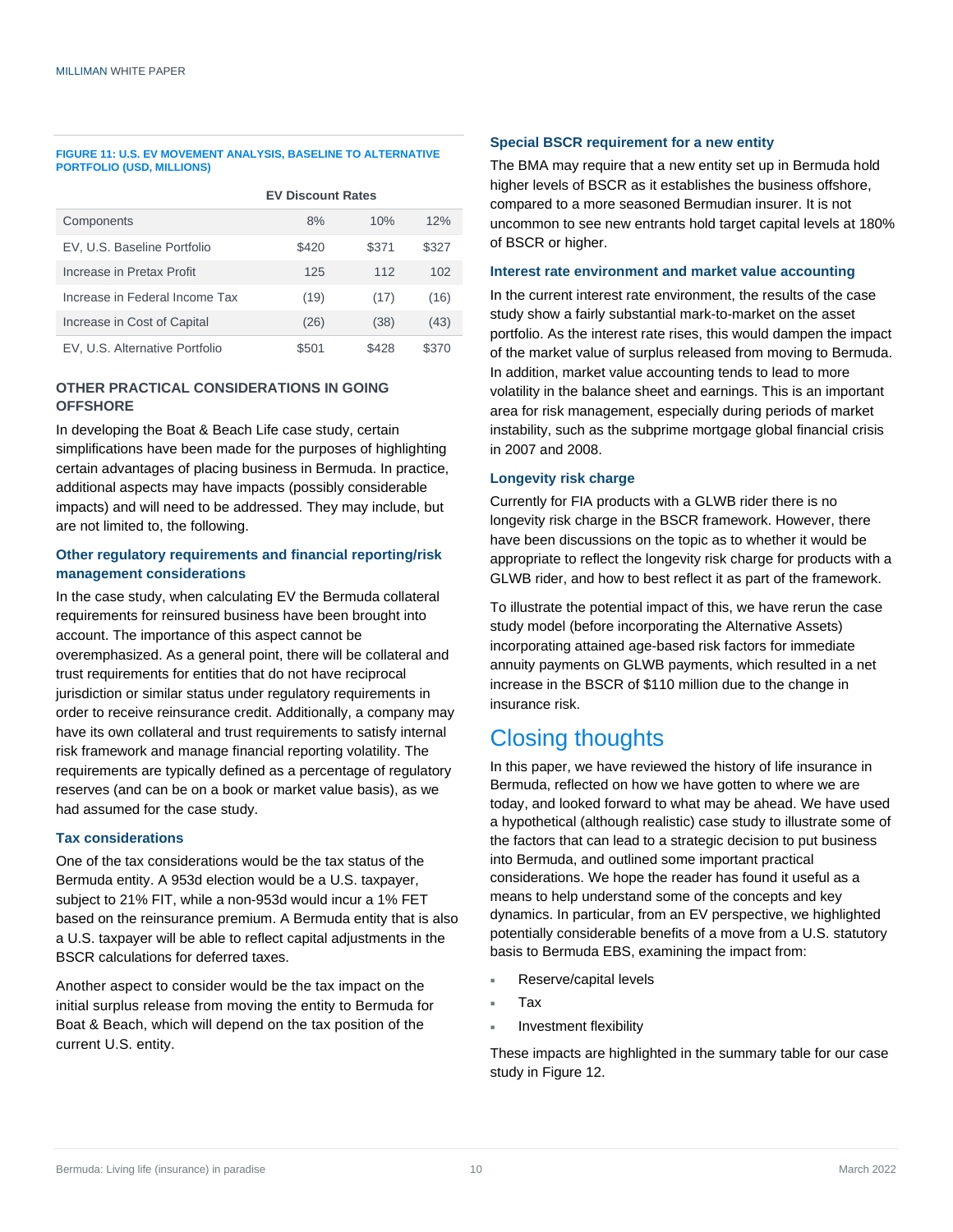#### **FIGURE 11: U.S. EV MOVEMENT ANALYSIS, BASELINE TO ALTERNATIVE PORTFOLIO (USD, MILLIONS)**

#### **EV Discount Rates**

| Components                     | 8%    | 10%   | 12%   |
|--------------------------------|-------|-------|-------|
| EV, U.S. Baseline Portfolio    | \$420 | \$371 | \$327 |
| Increase in Pretax Profit      | 125   | 112   | 102   |
| Increase in Federal Income Tax | (19)  | (17)  | (16)  |
| Increase in Cost of Capital    | (26)  | (38)  | (43)  |
| EV, U.S. Alternative Portfolio | \$501 | \$428 | \$370 |

#### **OTHER PRACTICAL CONSIDERATIONS IN GOING OFFSHORE**

In developing the Boat & Beach Life case study, certain simplifications have been made for the purposes of highlighting certain advantages of placing business in Bermuda. In practice, additional aspects may have impacts (possibly considerable impacts) and will need to be addressed. They may include, but are not limited to, the following.

#### **Other regulatory requirements and financial reporting/risk management considerations**

In the case study, when calculating EV the Bermuda collateral requirements for reinsured business have been brought into account. The importance of this aspect cannot be overemphasized. As a general point, there will be collateral and trust requirements for entities that do not have reciprocal jurisdiction or similar status under regulatory requirements in order to receive reinsurance credit. Additionally, a company may have its own collateral and trust requirements to satisfy internal risk framework and manage financial reporting volatility. The requirements are typically defined as a percentage of regulatory reserves (and can be on a book or market value basis), as we had assumed for the case study.

#### **Tax considerations**

One of the tax considerations would be the tax status of the Bermuda entity. A 953d election would be a U.S. taxpayer, subject to 21% FIT, while a non-953d would incur a 1% FET based on the reinsurance premium. A Bermuda entity that is also a U.S. taxpayer will be able to reflect capital adjustments in the BSCR calculations for deferred taxes.

Another aspect to consider would be the tax impact on the initial surplus release from moving the entity to Bermuda for Boat & Beach, which will depend on the tax position of the current U.S. entity.

#### **Special BSCR requirement for a new entity**

The BMA may require that a new entity set up in Bermuda hold higher levels of BSCR as it establishes the business offshore, compared to a more seasoned Bermudian insurer. It is not uncommon to see new entrants hold target capital levels at 180% of BSCR or higher.

#### **Interest rate environment and market value accounting**

In the current interest rate environment, the results of the case study show a fairly substantial mark-to-market on the asset portfolio. As the interest rate rises, this would dampen the impact of the market value of surplus released from moving to Bermuda. In addition, market value accounting tends to lead to more volatility in the balance sheet and earnings. This is an important area for risk management, especially during periods of market instability, such as the subprime mortgage global financial crisis in 2007 and 2008.

#### **Longevity risk charge**

Currently for FIA products with a GLWB rider there is no longevity risk charge in the BSCR framework. However, there have been discussions on the topic as to whether it would be appropriate to reflect the longevity risk charge for products with a GLWB rider, and how to best reflect it as part of the framework.

To illustrate the potential impact of this, we have rerun the case study model (before incorporating the Alternative Assets) incorporating attained age-based risk factors for immediate annuity payments on GLWB payments, which resulted in a net increase in the BSCR of \$110 million due to the change in insurance risk.

## Closing thoughts

In this paper, we have reviewed the history of life insurance in Bermuda, reflected on how we have gotten to where we are today, and looked forward to what may be ahead. We have used a hypothetical (although realistic) case study to illustrate some of the factors that can lead to a strategic decision to put business into Bermuda, and outlined some important practical considerations. We hope the reader has found it useful as a means to help understand some of the concepts and key dynamics. In particular, from an EV perspective, we highlighted potentially considerable benefits of a move from a U.S. statutory basis to Bermuda EBS, examining the impact from:

- Reserve/capital levels
- Tax
- Investment flexibility

These impacts are highlighted in the summary table for our case study in Figure 12.